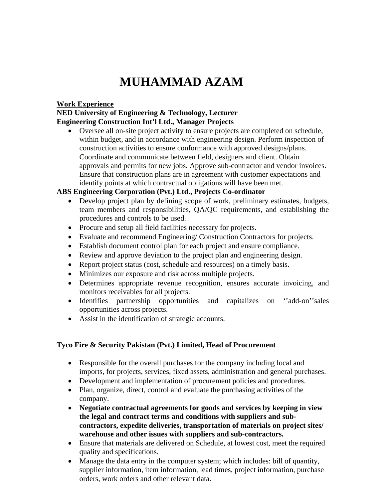# **MUHAMMAD AZAM**

#### **Work Experience**

#### **NED University of Engineering & Technology, Lecturer Engineering Construction Int'l Ltd., Manager Projects**

• Oversee all on-site project activity to ensure projects are completed on schedule, within budget, and in accordance with engineering design. Perform inspection of construction activities to ensure conformance with approved designs/plans. Coordinate and communicate between field, designers and client. Obtain approvals and permits for new jobs. Approve sub-contractor and vendor invoices. Ensure that construction plans are in agreement with customer expectations and identify points at which contractual obligations will have been met.

#### **ABS Engineering Corporation (Pvt.) Ltd., Projects Co-ordinator**

- Develop project plan by defining scope of work, preliminary estimates, budgets, team members and responsibilities, QA/QC requirements, and establishing the procedures and controls to be used.
- Procure and setup all field facilities necessary for projects.
- Evaluate and recommend Engineering/ Construction Contractors for projects.
- Establish document control plan for each project and ensure compliance.
- Review and approve deviation to the project plan and engineering design.
- Report project status (cost, schedule and resources) on a timely basis.
- Minimizes our exposure and risk across multiple projects.
- Determines appropriate revenue recognition, ensures accurate invoicing, and monitors receivables for all projects.
- Identifies partnership opportunities and capitalizes on ''add-on''sales opportunities across projects.
- Assist in the identification of strategic accounts.

## **Tyco Fire & Security Pakistan (Pvt.) Limited, Head of Procurement**

- Responsible for the overall purchases for the company including local and imports, for projects, services, fixed assets, administration and general purchases.
- Development and implementation of procurement policies and procedures.
- Plan, organize, direct, control and evaluate the purchasing activities of the company.
- **Negotiate contractual agreements for goods and services by keeping in view the legal and contract terms and conditions with suppliers and subcontractors, expedite deliveries, transportation of materials on project sites/ warehouse and other issues with suppliers and sub-contractors.**
- Ensure that materials are delivered on Schedule, at lowest cost, meet the required quality and specifications.
- Manage the data entry in the computer system; which includes: bill of quantity, supplier information, item information, lead times, project information, purchase orders, work orders and other relevant data.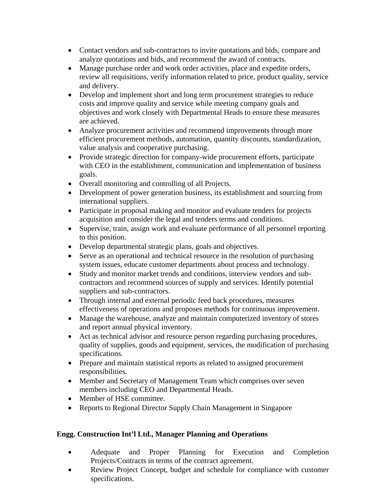- Contact vendors and sub-contractors to invite quotations and bids, compare and analyze quotations and bids, and recommend the award of contracts.
- Manage purchase order and work order activities, place and expedite orders, review all requisitions, verify information related to price, product quality, service and delivery.
- Develop and implement short and long term procurement strategies to reduce costs and improve quality and service while meeting company goals and objectives and work closely with Departmental Heads to ensure these measures are achieved.
- Analyze procurement activities and recommend improvements through more efficient procurement methods, automation, quantity discounts, standardization, value analysis and cooperative purchasing.
- Provide strategic direction for company-wide procurement efforts, participate with CEO in the establishment, communication and implementation of business goals.
- Overall monitoring and controlling of all Projects.
- Development of power generation business, its establishment and sourcing from international suppliers.
- Participate in proposal making and monitor and evaluate tenders for projects acquisition and consider the legal and tenders terms and conditions.
- Supervise, train, assign work and evaluate performance of all personnel reporting to this position.
- Develop departmental strategic plans, goals and objectives.
- Serve as an operational and technical resource in the resolution of purchasing system issues, educate customer departments about process and technology.
- Study and monitor market trends and conditions, interview vendors and subcontractors and recommend sources of supply and services. Identify potential suppliers and sub-contractors.
- Through internal and external periodic feed back procedures, measures effectiveness of operations and proposes methods for continuous improvement.
- Manage the warehouse, analyze and maintain computerized inventory of stores and report annual physical inventory.
- Act as technical advisor and resource person regarding purchasing procedures, quality of supplies, goods and equipment, services, the modification of purchasing specifications.
- Prepare and maintain statistical reports as related to assigned procurement responsibilities.
- Member and Secretary of Management Team which comprises over seven members including CEO and Departmental Heads.
- Member of HSE committee.
- Reports to Regional Director Supply Chain Management in Singapore

## **Engg. Construction Int'l Ltd., Manager Planning and Operations**

- Adequate and Proper Planning for Execution and Completion Projects/Contracts in terms of the contract agreement.
- Review Project Concept, budget and schedule for compliance with customer specifications.